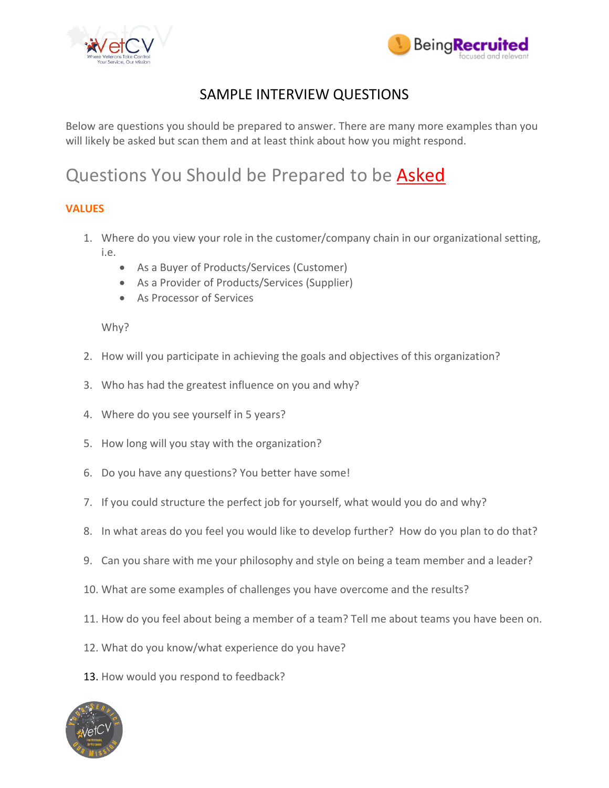



# SAMPLE INTERVIEW QUESTIONS

Below are questions you should be prepared to answer. There are many more examples than you will likely be asked but scan them and at least think about how you might respond.

# Questions You Should be Prepared to be **Asked**

# **VALUES**

- 1. Where do you view your role in the customer/company chain in our organizational setting, i.e.
	- As a Buyer of Products/Services (Customer)
	- As a Provider of Products/Services (Supplier)
	- As Processor of Services

# Why?

- 2. How will you participate in achieving the goals and objectives of this organization?
- 3. Who has had the greatest influence on you and why?
- 4. Where do you see yourself in 5 years?
- 5. How long will you stay with the organization?
- 6. Do you have any questions? You better have some!
- 7. If you could structure the perfect job for yourself, what would you do and why?
- 8. In what areas do you feel you would like to develop further? How do you plan to do that?
- 9. Can you share with me your philosophy and style on being a team member and a leader?
- 10. What are some examples of challenges you have overcome and the results?
- 11. How do you feel about being a member of a team? Tell me about teams you have been on.
- 12. What do you know/what experience do you have?
- 13. How would you respond to feedback?

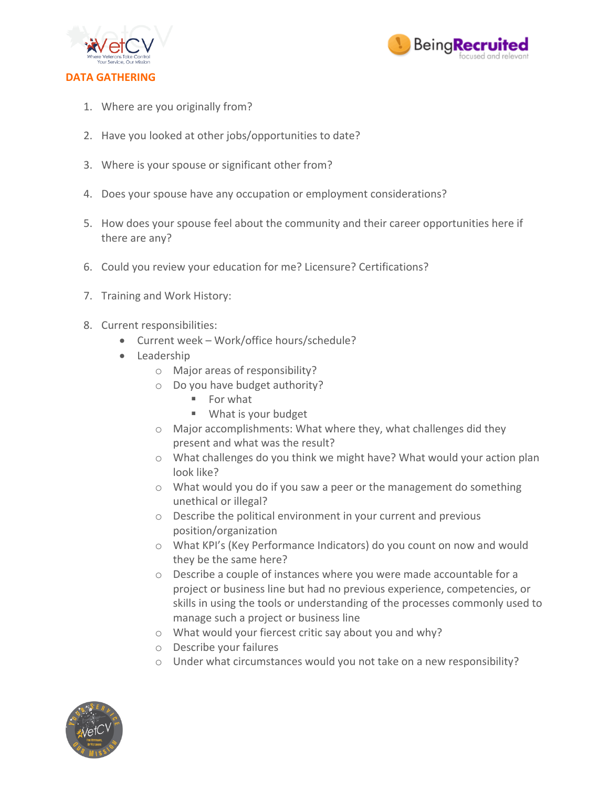



- 1. Where are you originally from?
- 2. Have you looked at other jobs/opportunities to date?
- 3. Where is your spouse or significant other from?
- 4. Does your spouse have any occupation or employment considerations?
- 5. How does your spouse feel about the community and their career opportunities here if there are any?
- 6. Could you review your education for me? Licensure? Certifications?
- 7. Training and Work History:
- 8. Current responsibilities:
	- Current week Work/office hours/schedule?
	- Leadership
		- o Major areas of responsibility?
		- o Do you have budget authority?
			- For what
			- What is your budget
		- o Major accomplishments: What where they, what challenges did they present and what was the result?
		- o What challenges do you think we might have? What would your action plan look like?
		- o What would you do if you saw a peer or the management do something unethical or illegal?
		- o Describe the political environment in your current and previous position/organization
		- o What KPI's (Key Performance Indicators) do you count on now and would they be the same here?
		- o Describe a couple of instances where you were made accountable for a project or business line but had no previous experience, competencies, or skills in using the tools or understanding of the processes commonly used to manage such a project or business line
		- o What would your fiercest critic say about you and why?
		- o Describe your failures
		- o Under what circumstances would you not take on a new responsibility?

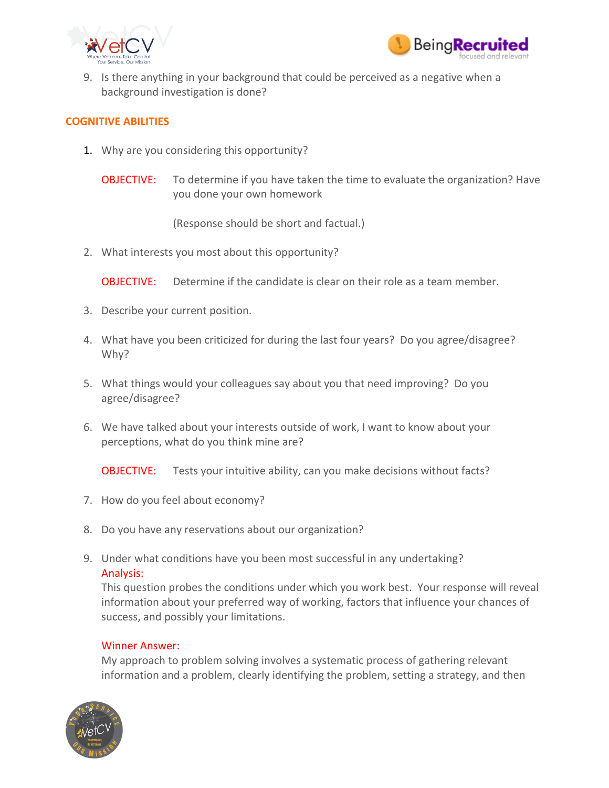



9. Is there anything in your background that could be perceived as a negative when a background investigation is done?

#### **COGNITIVE ABILITIES**

- 1. Why are you considering this opportunity?
	- **OBJECTIVE:** To determine if you have taken the time to evaluate the organization? Have you done your own homework

(Response should be short and factual.)

2. What interests you most about this opportunity?

OBJECTIVE: Determine if the candidate is clear on their role as a team member.

- 3. Describe your current position.
- 4. What have you been criticized for during the last four years? Do you agree/disagree? Why?
- 5. What things would your colleagues say about you that need improving? Do you agree/disagree?
- 6. We have talked about your interests outside of work, I want to know about your perceptions, what do you think mine are?

**OBJECTIVE:** Tests your intuitive ability, can you make decisions without facts?

- 7. How do you feel about economy?
- 8. Do you have any reservations about our organization?
- 9. Under what conditions have you been most successful in any undertaking? Analysis:

This question probes the conditions under which you work best. Your response will reveal information about your preferred way of working, factors that influence your chances of success, and possibly your limitations.

#### Winner Answer:

My approach to problem solving involves a systematic process of gathering relevant information and a problem, clearly identifying the problem, setting a strategy, and then

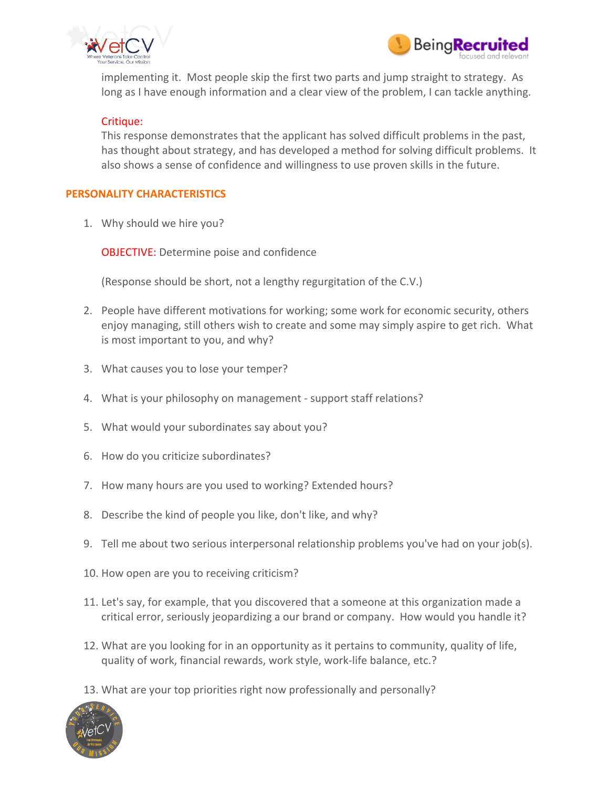



implementing it. Most people skip the first two parts and jump straight to strategy. As long as I have enough information and a clear view of the problem, I can tackle anything.

#### Critique:

This response demonstrates that the applicant has solved difficult problems in the past, has thought about strategy, and has developed a method for solving difficult problems. It also shows a sense of confidence and willingness to use proven skills in the future.

# **PERSONALITY CHARACTERISTICS**

1. Why should we hire you?

OBJECTIVE: Determine poise and confidence

(Response should be short, not a lengthy regurgitation of the C.V.)

- 2. People have different motivations for working; some work for economic security, others enjoy managing, still others wish to create and some may simply aspire to get rich. What is most important to you, and why?
- 3. What causes you to lose your temper?
- 4. What is your philosophy on management support staff relations?
- 5. What would your subordinates say about you?
- 6. How do you criticize subordinates?
- 7. How many hours are you used to working? Extended hours?
- 8. Describe the kind of people you like, don't like, and why?
- 9. Tell me about two serious interpersonal relationship problems you've had on your job(s).
- 10. How open are you to receiving criticism?
- 11. Let's say, for example, that you discovered that a someone at this organization made a critical error, seriously jeopardizing a our brand or company. How would you handle it?
- 12. What are you looking for in an opportunity as it pertains to community, quality of life, quality of work, financial rewards, work style, work-life balance, etc.?
- 13. What are your top priorities right now professionally and personally?

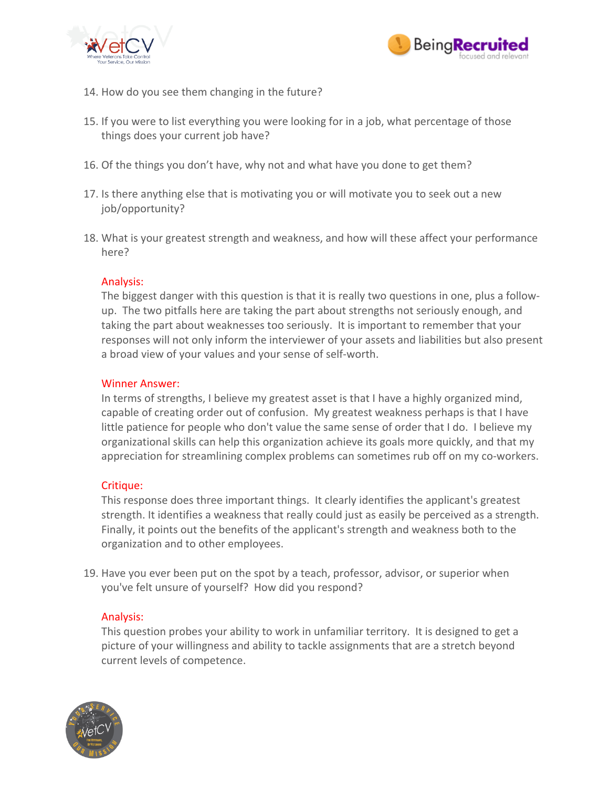



- 14. How do you see them changing in the future?
- 15. If you were to list everything you were looking for in a job, what percentage of those things does your current job have?
- 16. Of the things you don't have, why not and what have you done to get them?
- 17. Is there anything else that is motivating you or will motivate you to seek out a new job/opportunity?
- 18. What is your greatest strength and weakness, and how will these affect your performance here?

# Analysis:

The biggest danger with this question is that it is really two questions in one, plus a followup. The two pitfalls here are taking the part about strengths not seriously enough, and taking the part about weaknesses too seriously. It is important to remember that your responses will not only inform the interviewer of your assets and liabilities but also present a broad view of your values and your sense of self-worth.

#### Winner Answer:

In terms of strengths, I believe my greatest asset is that I have a highly organized mind, capable of creating order out of confusion. My greatest weakness perhaps is that I have little patience for people who don't value the same sense of order that I do. I believe my organizational skills can help this organization achieve its goals more quickly, and that my appreciation for streamlining complex problems can sometimes rub off on my co-workers.

#### Critique:

This response does three important things. It clearly identifies the applicant's greatest strength. It identifies a weakness that really could just as easily be perceived as a strength. Finally, it points out the benefits of the applicant's strength and weakness both to the organization and to other employees.

19. Have you ever been put on the spot by a teach, professor, advisor, or superior when you've felt unsure of yourself? How did you respond?

#### Analysis:

This question probes your ability to work in unfamiliar territory. It is designed to get a picture of your willingness and ability to tackle assignments that are a stretch beyond current levels of competence.

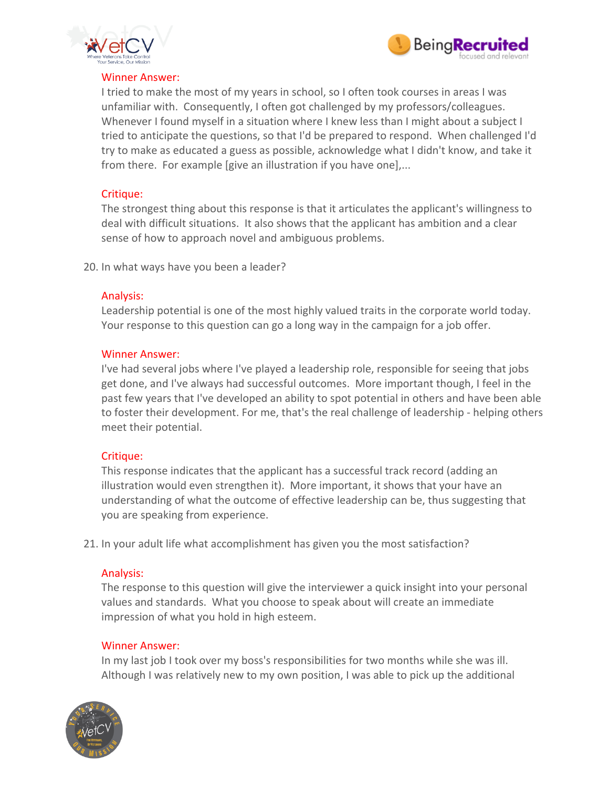



#### Winner Answer:

I tried to make the most of my years in school, so I often took courses in areas I was unfamiliar with. Consequently, I often got challenged by my professors/colleagues. Whenever I found myself in a situation where I knew less than I might about a subject I tried to anticipate the questions, so that I'd be prepared to respond. When challenged I'd try to make as educated a guess as possible, acknowledge what I didn't know, and take it from there. For example [give an illustration if you have one],...

#### Critique:

The strongest thing about this response is that it articulates the applicant's willingness to deal with difficult situations. It also shows that the applicant has ambition and a clear sense of how to approach novel and ambiguous problems.

20. In what ways have you been a leader?

#### Analysis:

Leadership potential is one of the most highly valued traits in the corporate world today. Your response to this question can go a long way in the campaign for a job offer.

#### Winner Answer:

I've had several jobs where I've played a leadership role, responsible for seeing that jobs get done, and I've always had successful outcomes. More important though, I feel in the past few years that I've developed an ability to spot potential in others and have been able to foster their development. For me, that's the real challenge of leadership - helping others meet their potential.

#### Critique:

This response indicates that the applicant has a successful track record (adding an illustration would even strengthen it). More important, it shows that your have an understanding of what the outcome of effective leadership can be, thus suggesting that you are speaking from experience.

21. In your adult life what accomplishment has given you the most satisfaction?

#### Analysis:

The response to this question will give the interviewer a quick insight into your personal values and standards. What you choose to speak about will create an immediate impression of what you hold in high esteem.

#### Winner Answer:

In my last job I took over my boss's responsibilities for two months while she was ill. Although I was relatively new to my own position, I was able to pick up the additional

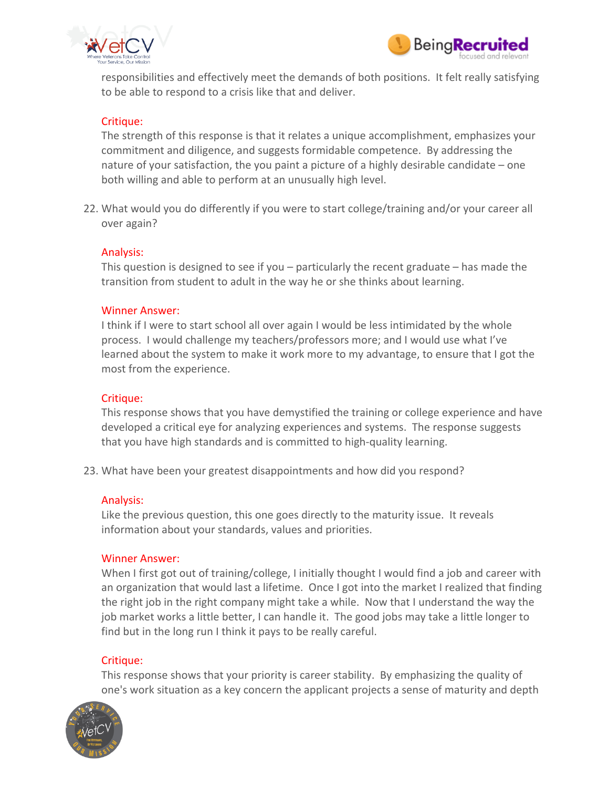



responsibilities and effectively meet the demands of both positions. It felt really satisfying to be able to respond to a crisis like that and deliver.

# Critique:

The strength of this response is that it relates a unique accomplishment, emphasizes your commitment and diligence, and suggests formidable competence. By addressing the nature of your satisfaction, the you paint a picture of a highly desirable candidate – one both willing and able to perform at an unusually high level.

22. What would you do differently if you were to start college/training and/or your career all over again?

#### Analysis:

This question is designed to see if you – particularly the recent graduate – has made the transition from student to adult in the way he or she thinks about learning.

#### Winner Answer:

I think if I were to start school all over again I would be less intimidated by the whole process. I would challenge my teachers/professors more; and I would use what I've learned about the system to make it work more to my advantage, to ensure that I got the most from the experience.

#### Critique:

This response shows that you have demystified the training or college experience and have developed a critical eye for analyzing experiences and systems. The response suggests that you have high standards and is committed to high-quality learning.

23. What have been your greatest disappointments and how did you respond?

#### Analysis:

Like the previous question, this one goes directly to the maturity issue. It reveals information about your standards, values and priorities.

#### Winner Answer:

When I first got out of training/college, I initially thought I would find a job and career with an organization that would last a lifetime. Once I got into the market I realized that finding the right job in the right company might take a while. Now that I understand the way the job market works a little better, I can handle it. The good jobs may take a little longer to find but in the long run I think it pays to be really careful.

#### Critique:

This response shows that your priority is career stability. By emphasizing the quality of one's work situation as a key concern the applicant projects a sense of maturity and depth

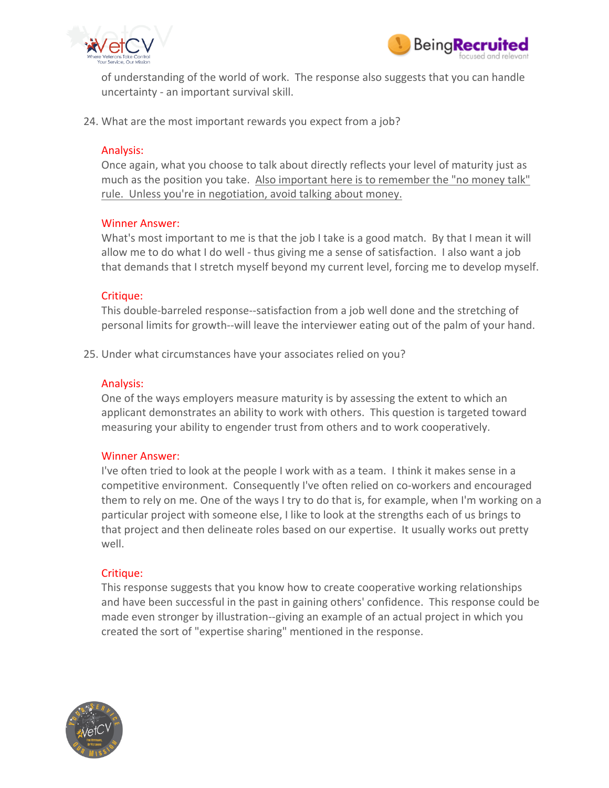



of understanding of the world of work. The response also suggests that you can handle uncertainty - an important survival skill.

24. What are the most important rewards you expect from a job?

#### Analysis:

Once again, what you choose to talk about directly reflects your level of maturity just as much as the position you take. Also important here is to remember the "no money talk" rule. Unless you're in negotiation, avoid talking about money.

#### Winner Answer:

What's most important to me is that the job I take is a good match. By that I mean it will allow me to do what I do well - thus giving me a sense of satisfaction. I also want a job that demands that I stretch myself beyond my current level, forcing me to develop myself.

#### Critique:

This double-barreled response--satisfaction from a job well done and the stretching of personal limits for growth--will leave the interviewer eating out of the palm of your hand.

25. Under what circumstances have your associates relied on you?

#### Analysis:

One of the ways employers measure maturity is by assessing the extent to which an applicant demonstrates an ability to work with others. This question is targeted toward measuring your ability to engender trust from others and to work cooperatively.

#### Winner Answer:

I've often tried to look at the people I work with as a team. I think it makes sense in a competitive environment. Consequently I've often relied on co-workers and encouraged them to rely on me. One of the ways I try to do that is, for example, when I'm working on a particular project with someone else, I like to look at the strengths each of us brings to that project and then delineate roles based on our expertise. It usually works out pretty well.

#### Critique:

This response suggests that you know how to create cooperative working relationships and have been successful in the past in gaining others' confidence. This response could be made even stronger by illustration--giving an example of an actual project in which you created the sort of "expertise sharing" mentioned in the response.

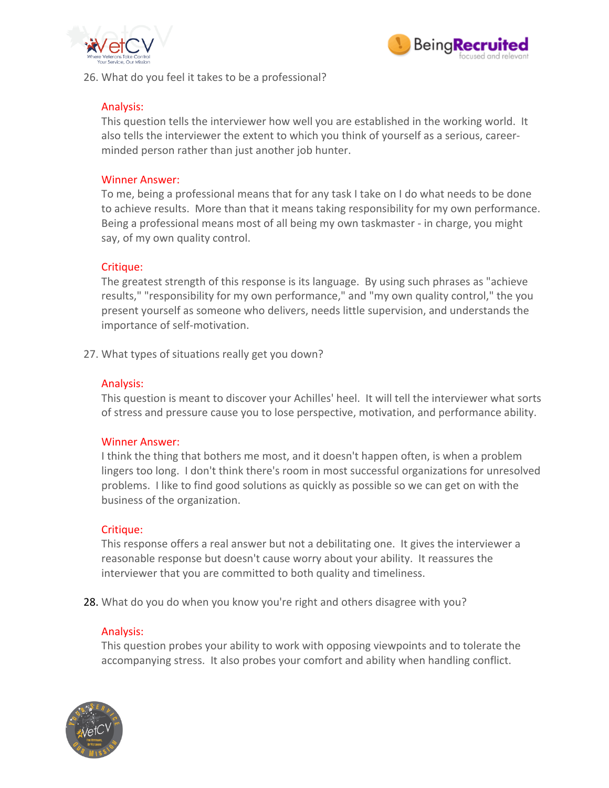



26. What do you feel it takes to be a professional?

# Analysis:

This question tells the interviewer how well you are established in the working world. It also tells the interviewer the extent to which you think of yourself as a serious, careerminded person rather than just another job hunter.

# Winner Answer:

To me, being a professional means that for any task I take on I do what needs to be done to achieve results. More than that it means taking responsibility for my own performance. Being a professional means most of all being my own taskmaster - in charge, you might say, of my own quality control.

# Critique:

The greatest strength of this response is its language. By using such phrases as "achieve results," "responsibility for my own performance," and "my own quality control," the you present yourself as someone who delivers, needs little supervision, and understands the importance of self-motivation.

27. What types of situations really get you down?

#### Analysis:

This question is meant to discover your Achilles' heel. It will tell the interviewer what sorts of stress and pressure cause you to lose perspective, motivation, and performance ability.

#### Winner Answer:

I think the thing that bothers me most, and it doesn't happen often, is when a problem lingers too long. I don't think there's room in most successful organizations for unresolved problems. I like to find good solutions as quickly as possible so we can get on with the business of the organization.

#### Critique:

This response offers a real answer but not a debilitating one. It gives the interviewer a reasonable response but doesn't cause worry about your ability. It reassures the interviewer that you are committed to both quality and timeliness.

28. What do you do when you know you're right and others disagree with you?

#### Analysis:

This question probes your ability to work with opposing viewpoints and to tolerate the accompanying stress. It also probes your comfort and ability when handling conflict.

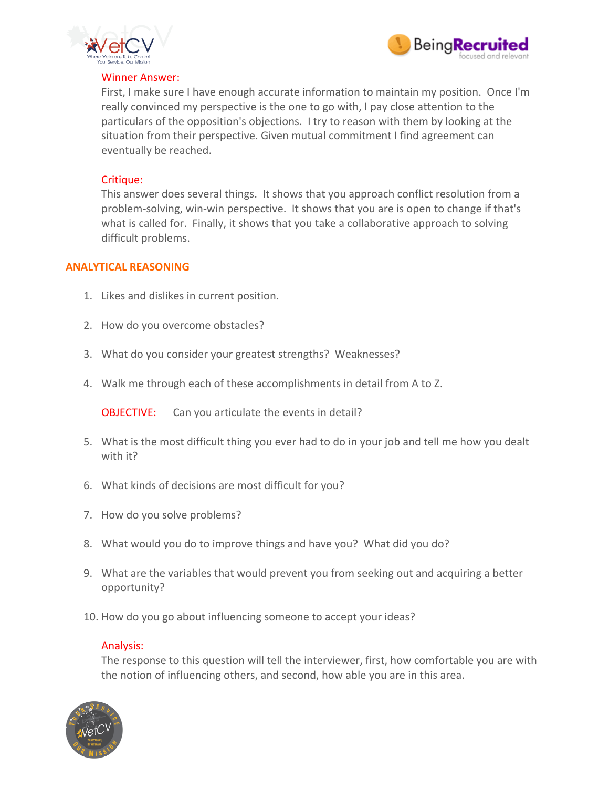



#### Winner Answer:

First, I make sure I have enough accurate information to maintain my position. Once I'm really convinced my perspective is the one to go with, I pay close attention to the particulars of the opposition's objections. I try to reason with them by looking at the situation from their perspective. Given mutual commitment I find agreement can eventually be reached.

# Critique:

This answer does several things. It shows that you approach conflict resolution from a problem-solving, win-win perspective. It shows that you are is open to change if that's what is called for. Finally, it shows that you take a collaborative approach to solving difficult problems.

#### **ANALYTICAL REASONING**

- 1. Likes and dislikes in current position.
- 2. How do you overcome obstacles?
- 3. What do you consider your greatest strengths? Weaknesses?
- 4. Walk me through each of these accomplishments in detail from A to Z.

**OBJECTIVE:** Can you articulate the events in detail?

- 5. What is the most difficult thing you ever had to do in your job and tell me how you dealt with it?
- 6. What kinds of decisions are most difficult for you?
- 7. How do you solve problems?
- 8. What would you do to improve things and have you? What did you do?
- 9. What are the variables that would prevent you from seeking out and acquiring a better opportunity?
- 10. How do you go about influencing someone to accept your ideas?

#### Analysis:

The response to this question will tell the interviewer, first, how comfortable you are with the notion of influencing others, and second, how able you are in this area.

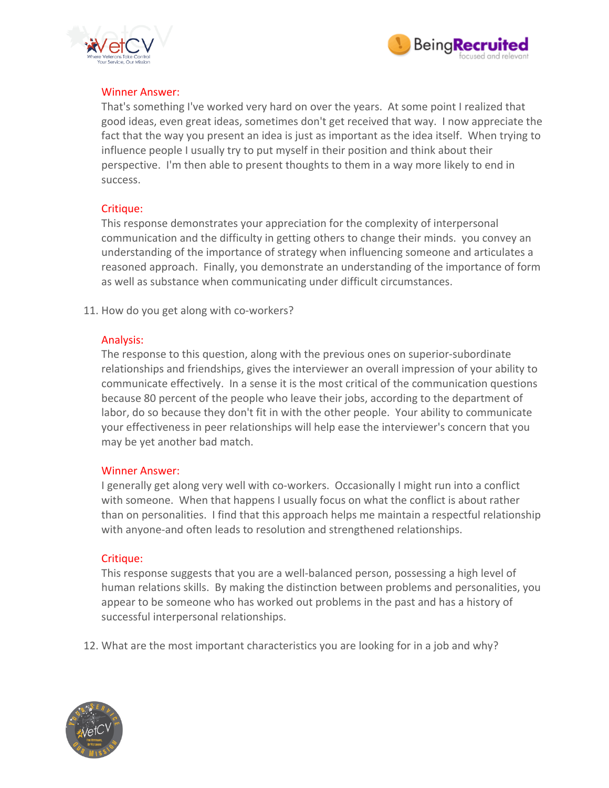



#### Winner Answer:

That's something I've worked very hard on over the years. At some point I realized that good ideas, even great ideas, sometimes don't get received that way. I now appreciate the fact that the way you present an idea is just as important as the idea itself. When trying to influence people I usually try to put myself in their position and think about their perspective. I'm then able to present thoughts to them in a way more likely to end in success.

# Critique:

This response demonstrates your appreciation for the complexity of interpersonal communication and the difficulty in getting others to change their minds. you convey an understanding of the importance of strategy when influencing someone and articulates a reasoned approach. Finally, you demonstrate an understanding of the importance of form as well as substance when communicating under difficult circumstances.

11. How do you get along with co-workers?

# Analysis:

The response to this question, along with the previous ones on superior-subordinate relationships and friendships, gives the interviewer an overall impression of your ability to communicate effectively. In a sense it is the most critical of the communication questions because 80 percent of the people who leave their jobs, according to the department of labor, do so because they don't fit in with the other people. Your ability to communicate your effectiveness in peer relationships will help ease the interviewer's concern that you may be yet another bad match.

#### Winner Answer:

I generally get along very well with co-workers. Occasionally I might run into a conflict with someone. When that happens I usually focus on what the conflict is about rather than on personalities. I find that this approach helps me maintain a respectful relationship with anyone-and often leads to resolution and strengthened relationships.

#### Critique:

This response suggests that you are a well-balanced person, possessing a high level of human relations skills. By making the distinction between problems and personalities, you appear to be someone who has worked out problems in the past and has a history of successful interpersonal relationships.

12. What are the most important characteristics you are looking for in a job and why?

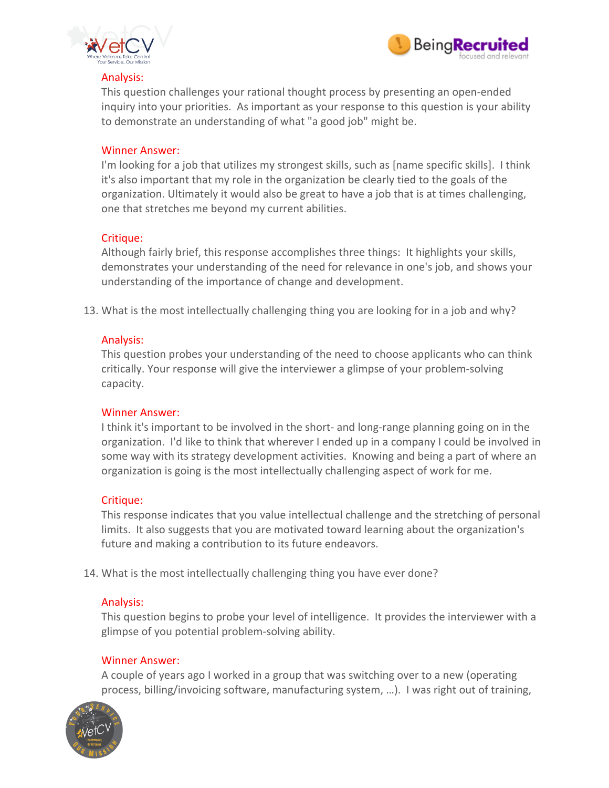



#### Analysis:

This question challenges your rational thought process by presenting an open-ended inquiry into your priorities. As important as your response to this question is your ability to demonstrate an understanding of what "a good job" might be.

#### Winner Answer:

I'm looking for a job that utilizes my strongest skills, such as [name specific skills]. I think it's also important that my role in the organization be clearly tied to the goals of the organization. Ultimately it would also be great to have a job that is at times challenging, one that stretches me beyond my current abilities.

#### Critique:

Although fairly brief, this response accomplishes three things: It highlights your skills, demonstrates your understanding of the need for relevance in one's job, and shows your understanding of the importance of change and development.

13. What is the most intellectually challenging thing you are looking for in a job and why?

#### Analysis:

This question probes your understanding of the need to choose applicants who can think critically. Your response will give the interviewer a glimpse of your problem-solving capacity.

#### Winner Answer:

I think it's important to be involved in the short- and long-range planning going on in the organization. I'd like to think that wherever I ended up in a company I could be involved in some way with its strategy development activities. Knowing and being a part of where an organization is going is the most intellectually challenging aspect of work for me.

#### Critique:

This response indicates that you value intellectual challenge and the stretching of personal limits. It also suggests that you are motivated toward learning about the organization's future and making a contribution to its future endeavors.

14. What is the most intellectually challenging thing you have ever done?

#### Analysis:

This question begins to probe your level of intelligence. It provides the interviewer with a glimpse of you potential problem-solving ability.

#### Winner Answer:

A couple of years ago I worked in a group that was switching over to a new (operating process, billing/invoicing software, manufacturing system, …). I was right out of training,

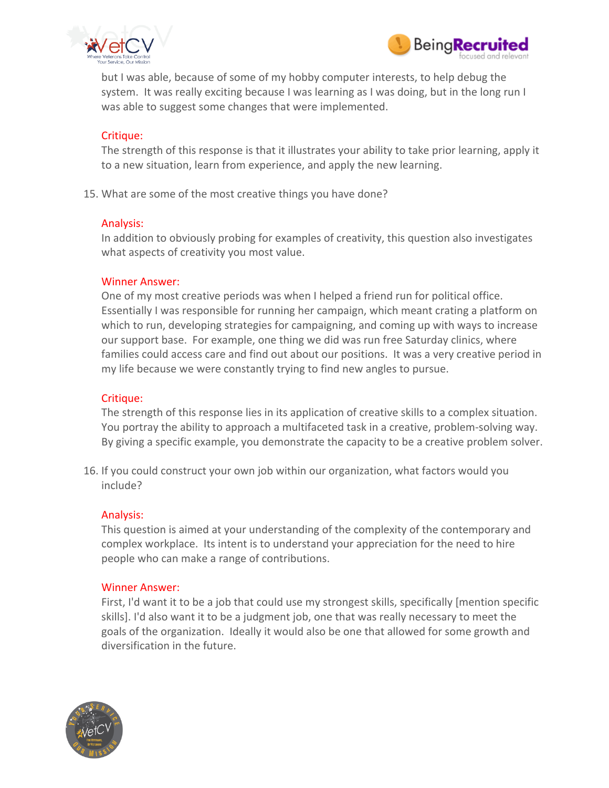



but I was able, because of some of my hobby computer interests, to help debug the system. It was really exciting because I was learning as I was doing, but in the long run I was able to suggest some changes that were implemented.

#### Critique:

The strength of this response is that it illustrates your ability to take prior learning, apply it to a new situation, learn from experience, and apply the new learning.

15. What are some of the most creative things you have done?

#### Analysis:

In addition to obviously probing for examples of creativity, this question also investigates what aspects of creativity you most value.

#### Winner Answer:

One of my most creative periods was when I helped a friend run for political office. Essentially I was responsible for running her campaign, which meant crating a platform on which to run, developing strategies for campaigning, and coming up with ways to increase our support base. For example, one thing we did was run free Saturday clinics, where families could access care and find out about our positions. It was a very creative period in my life because we were constantly trying to find new angles to pursue.

#### Critique:

The strength of this response lies in its application of creative skills to a complex situation. You portray the ability to approach a multifaceted task in a creative, problem-solving way. By giving a specific example, you demonstrate the capacity to be a creative problem solver.

16. If you could construct your own job within our organization, what factors would you include?

#### Analysis:

This question is aimed at your understanding of the complexity of the contemporary and complex workplace. Its intent is to understand your appreciation for the need to hire people who can make a range of contributions.

#### Winner Answer:

First, I'd want it to be a job that could use my strongest skills, specifically [mention specific skills]. I'd also want it to be a judgment job, one that was really necessary to meet the goals of the organization. Ideally it would also be one that allowed for some growth and diversification in the future.

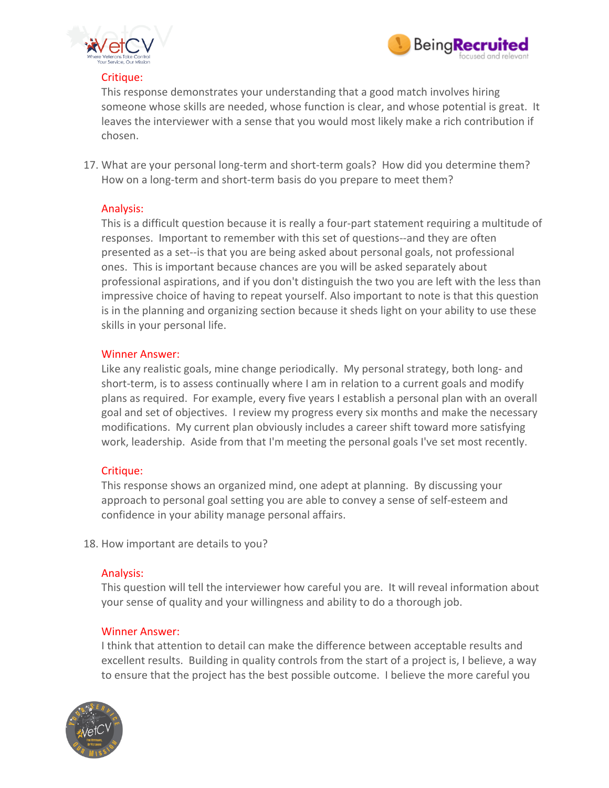



# Critique:

This response demonstrates your understanding that a good match involves hiring someone whose skills are needed, whose function is clear, and whose potential is great. It leaves the interviewer with a sense that you would most likely make a rich contribution if chosen.

17. What are your personal long-term and short-term goals? How did you determine them? How on a long-term and short-term basis do you prepare to meet them?

# Analysis:

This is a difficult question because it is really a four-part statement requiring a multitude of responses. Important to remember with this set of questions--and they are often presented as a set--is that you are being asked about personal goals, not professional ones. This is important because chances are you will be asked separately about professional aspirations, and if you don't distinguish the two you are left with the less than impressive choice of having to repeat yourself. Also important to note is that this question is in the planning and organizing section because it sheds light on your ability to use these skills in your personal life.

#### Winner Answer:

Like any realistic goals, mine change periodically. My personal strategy, both long- and short-term, is to assess continually where I am in relation to a current goals and modify plans as required. For example, every five years I establish a personal plan with an overall goal and set of objectives. I review my progress every six months and make the necessary modifications. My current plan obviously includes a career shift toward more satisfying work, leadership. Aside from that I'm meeting the personal goals I've set most recently.

# Critique:

This response shows an organized mind, one adept at planning. By discussing your approach to personal goal setting you are able to convey a sense of self-esteem and confidence in your ability manage personal affairs.

18. How important are details to you?

#### Analysis:

This question will tell the interviewer how careful you are. It will reveal information about your sense of quality and your willingness and ability to do a thorough job.

#### Winner Answer:

I think that attention to detail can make the difference between acceptable results and excellent results. Building in quality controls from the start of a project is, I believe, a way to ensure that the project has the best possible outcome. I believe the more careful you